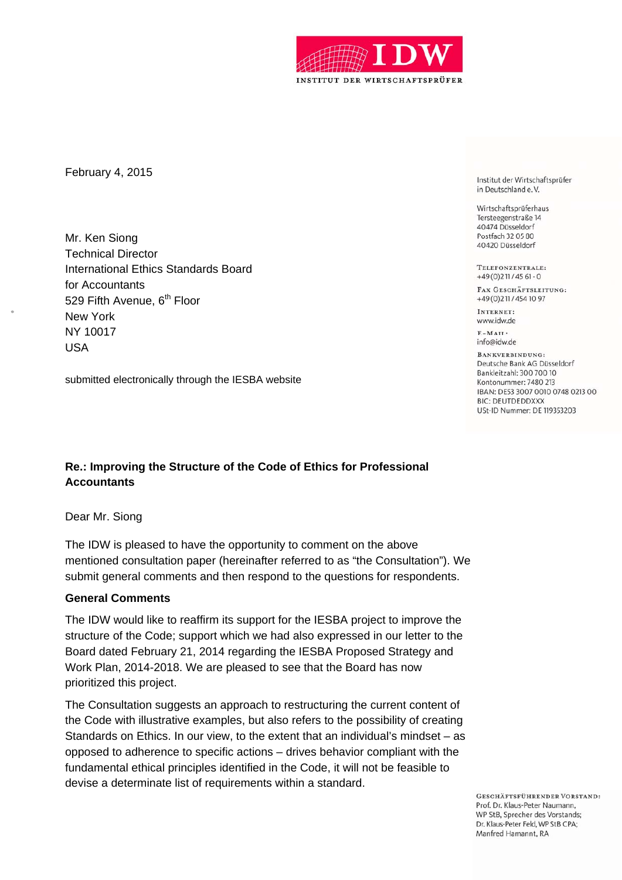

February 4, 2015

Mr. Ken Siong Technical Director International Ethics Standards Board for Accountants 529 Fifth Avenue, 6<sup>th</sup> Floor New York NY 10017 USA

submitted electronically through the IESBA website

# **Re.: Improving the Structure of the Code of Ethics for Professional Accountants**

Dear Mr. Siong

The IDW is pleased to have the opportunity to comment on the above mentioned consultation paper (hereinafter referred to as "the Consultation"). We submit general comments and then respond to the questions for respondents.

#### **General Comments**

The IDW would like to reaffirm its support for the IESBA project to improve the structure of the Code; support which we had also expressed in our letter to the Board dated February 21, 2014 regarding the IESBA Proposed Strategy and Work Plan, 2014-2018. We are pleased to see that the Board has now prioritized this project.

The Consultation suggests an approach to restructuring the current content of the Code with illustrative examples, but also refers to the possibility of creating Standards on Ethics. In our view, to the extent that an individual's mindset – as opposed to adherence to specific actions – drives behavior compliant with the fundamental ethical principles identified in the Code, it will not be feasible to devise a determinate list of requirements within a standard.

Institut der Wirtschaftsprüfer in Deutschland e.V.

Wirtschaftsprüferhaus Tersteegenstraße 14 40474 Düsseldorf Postfach 32 05 80 40420 Düsseldorf

TELEFONZENTRALE:  $+49(0)211/4561-0$ 

FAX GESCHÄFTSLEITUNG: +49 (0) 211 / 454 10 97

INTERNET: www.idw.de

 $F-MATI$ info@idw.de

BANKVERBINDUNG: Deutsche Bank AG Düsseldorf Bankleitzahl: 300 700 10 Kontonummer: 7480 213 IBAN: DE53 3007 0010 0748 0213 00 **BIC: DEUTDEDDXXX** USt-ID Nummer: DE 119353203

GESCHÄFTSFÜHRENDER VORSTAND: Prof. Dr. Klaus-Peter Naumann. WP StB, Sprecher des Vorstands; Dr. Klaus-Peter Feld, WP StB CPA; Manfred Hamannt, RA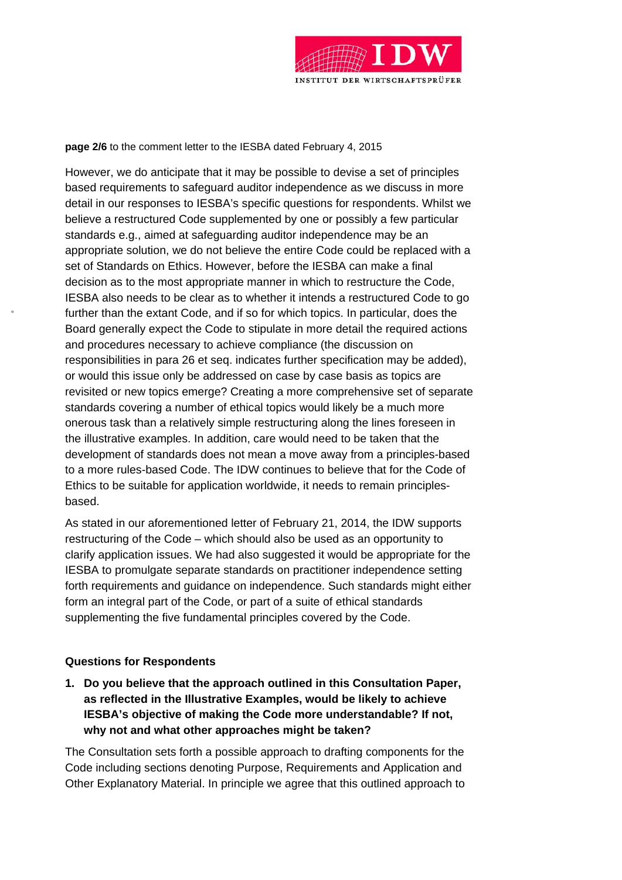

**page 2/6** to the comment letter to the IESBA dated February 4, 2015

However, we do anticipate that it may be possible to devise a set of principles based requirements to safeguard auditor independence as we discuss in more detail in our responses to IESBA's specific questions for respondents. Whilst we believe a restructured Code supplemented by one or possibly a few particular standards e.g., aimed at safeguarding auditor independence may be an appropriate solution, we do not believe the entire Code could be replaced with a set of Standards on Ethics. However, before the IESBA can make a final decision as to the most appropriate manner in which to restructure the Code, IESBA also needs to be clear as to whether it intends a restructured Code to go further than the extant Code, and if so for which topics. In particular, does the Board generally expect the Code to stipulate in more detail the required actions and procedures necessary to achieve compliance (the discussion on responsibilities in para 26 et seq. indicates further specification may be added), or would this issue only be addressed on case by case basis as topics are revisited or new topics emerge? Creating a more comprehensive set of separate standards covering a number of ethical topics would likely be a much more onerous task than a relatively simple restructuring along the lines foreseen in the illustrative examples. In addition, care would need to be taken that the development of standards does not mean a move away from a principles-based to a more rules-based Code. The IDW continues to believe that for the Code of Ethics to be suitable for application worldwide, it needs to remain principlesbased.

As stated in our aforementioned letter of February 21, 2014, the IDW supports restructuring of the Code – which should also be used as an opportunity to clarify application issues. We had also suggested it would be appropriate for the IESBA to promulgate separate standards on practitioner independence setting forth requirements and guidance on independence. Such standards might either form an integral part of the Code, or part of a suite of ethical standards supplementing the five fundamental principles covered by the Code.

#### **Questions for Respondents**

**1. Do you believe that the approach outlined in this Consultation Paper, as reflected in the Illustrative Examples, would be likely to achieve IESBA's objective of making the Code more understandable? If not, why not and what other approaches might be taken?** 

The Consultation sets forth a possible approach to drafting components for the Code including sections denoting Purpose, Requirements and Application and Other Explanatory Material. In principle we agree that this outlined approach to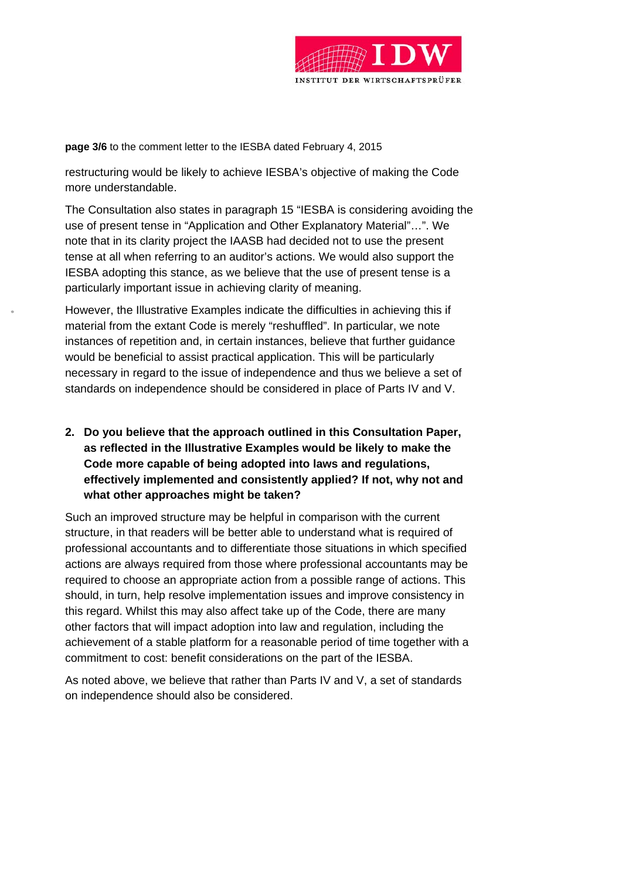

**page 3/6** to the comment letter to the IESBA dated February 4, 2015

restructuring would be likely to achieve IESBA's objective of making the Code more understandable.

The Consultation also states in paragraph 15 "IESBA is considering avoiding the use of present tense in "Application and Other Explanatory Material"…". We note that in its clarity project the IAASB had decided not to use the present tense at all when referring to an auditor's actions. We would also support the IESBA adopting this stance, as we believe that the use of present tense is a particularly important issue in achieving clarity of meaning.

However, the Illustrative Examples indicate the difficulties in achieving this if material from the extant Code is merely "reshuffled". In particular, we note instances of repetition and, in certain instances, believe that further guidance would be beneficial to assist practical application. This will be particularly necessary in regard to the issue of independence and thus we believe a set of standards on independence should be considered in place of Parts IV and V.

**2. Do you believe that the approach outlined in this Consultation Paper, as reflected in the Illustrative Examples would be likely to make the Code more capable of being adopted into laws and regulations, effectively implemented and consistently applied? If not, why not and what other approaches might be taken?** 

Such an improved structure may be helpful in comparison with the current structure, in that readers will be better able to understand what is required of professional accountants and to differentiate those situations in which specified actions are always required from those where professional accountants may be required to choose an appropriate action from a possible range of actions. This should, in turn, help resolve implementation issues and improve consistency in this regard. Whilst this may also affect take up of the Code, there are many other factors that will impact adoption into law and regulation, including the achievement of a stable platform for a reasonable period of time together with a commitment to cost: benefit considerations on the part of the IESBA.

As noted above, we believe that rather than Parts IV and V, a set of standards on independence should also be considered.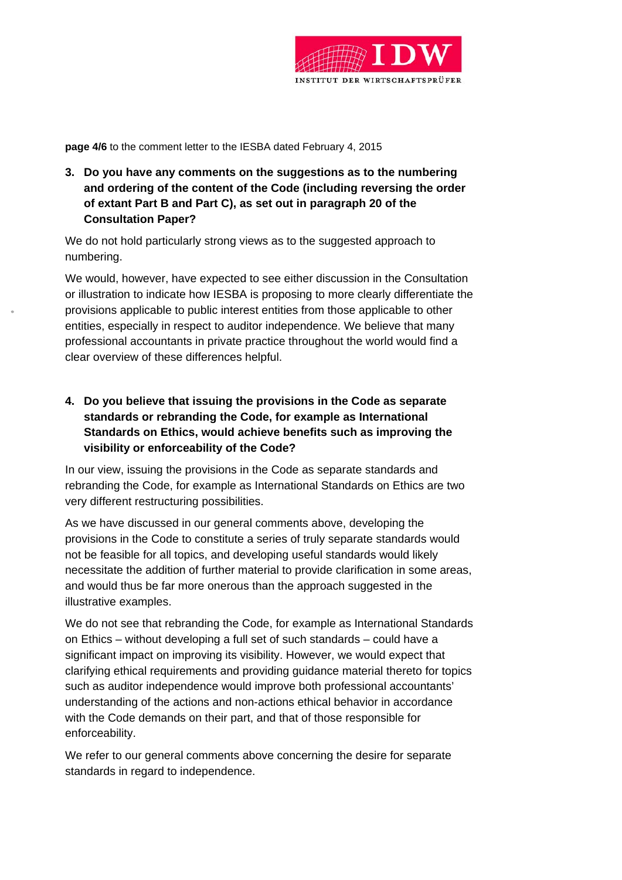

**page 4/6** to the comment letter to the IESBA dated February 4, 2015

**3. Do you have any comments on the suggestions as to the numbering and ordering of the content of the Code (including reversing the order of extant Part B and Part C), as set out in paragraph 20 of the Consultation Paper?** 

We do not hold particularly strong views as to the suggested approach to numbering.

We would, however, have expected to see either discussion in the Consultation or illustration to indicate how IESBA is proposing to more clearly differentiate the provisions applicable to public interest entities from those applicable to other entities, especially in respect to auditor independence. We believe that many professional accountants in private practice throughout the world would find a clear overview of these differences helpful.

**4. Do you believe that issuing the provisions in the Code as separate standards or rebranding the Code, for example as International Standards on Ethics, would achieve benefits such as improving the visibility or enforceability of the Code?** 

In our view, issuing the provisions in the Code as separate standards and rebranding the Code, for example as International Standards on Ethics are two very different restructuring possibilities.

As we have discussed in our general comments above, developing the provisions in the Code to constitute a series of truly separate standards would not be feasible for all topics, and developing useful standards would likely necessitate the addition of further material to provide clarification in some areas, and would thus be far more onerous than the approach suggested in the illustrative examples.

We do not see that rebranding the Code, for example as International Standards on Ethics – without developing a full set of such standards – could have a significant impact on improving its visibility. However, we would expect that clarifying ethical requirements and providing guidance material thereto for topics such as auditor independence would improve both professional accountants' understanding of the actions and non-actions ethical behavior in accordance with the Code demands on their part, and that of those responsible for enforceability.

We refer to our general comments above concerning the desire for separate standards in regard to independence.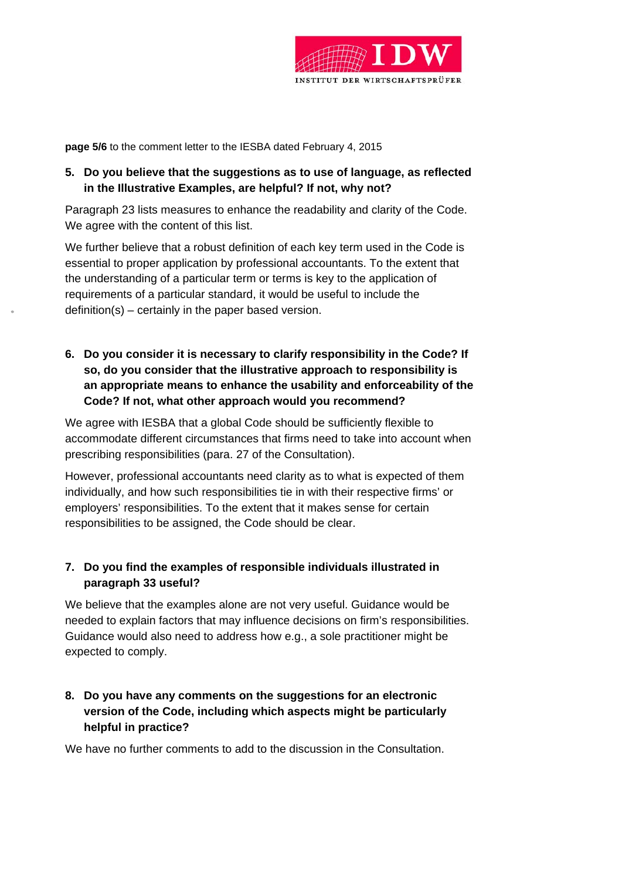

**page 5/6** to the comment letter to the IESBA dated February 4, 2015

# **5. Do you believe that the suggestions as to use of language, as reflected in the Illustrative Examples, are helpful? If not, why not?**

Paragraph 23 lists measures to enhance the readability and clarity of the Code. We agree with the content of this list.

We further believe that a robust definition of each key term used in the Code is essential to proper application by professional accountants. To the extent that the understanding of a particular term or terms is key to the application of requirements of a particular standard, it would be useful to include the definition(s) – certainly in the paper based version.

**6. Do you consider it is necessary to clarify responsibility in the Code? If so, do you consider that the illustrative approach to responsibility is an appropriate means to enhance the usability and enforceability of the Code? If not, what other approach would you recommend?** 

We agree with IESBA that a global Code should be sufficiently flexible to accommodate different circumstances that firms need to take into account when prescribing responsibilities (para. 27 of the Consultation).

However, professional accountants need clarity as to what is expected of them individually, and how such responsibilities tie in with their respective firms' or employers' responsibilities. To the extent that it makes sense for certain responsibilities to be assigned, the Code should be clear.

# **7. Do you find the examples of responsible individuals illustrated in paragraph 33 useful?**

We believe that the examples alone are not very useful. Guidance would be needed to explain factors that may influence decisions on firm's responsibilities. Guidance would also need to address how e.g., a sole practitioner might be expected to comply.

# **8. Do you have any comments on the suggestions for an electronic version of the Code, including which aspects might be particularly helpful in practice?**

We have no further comments to add to the discussion in the Consultation.